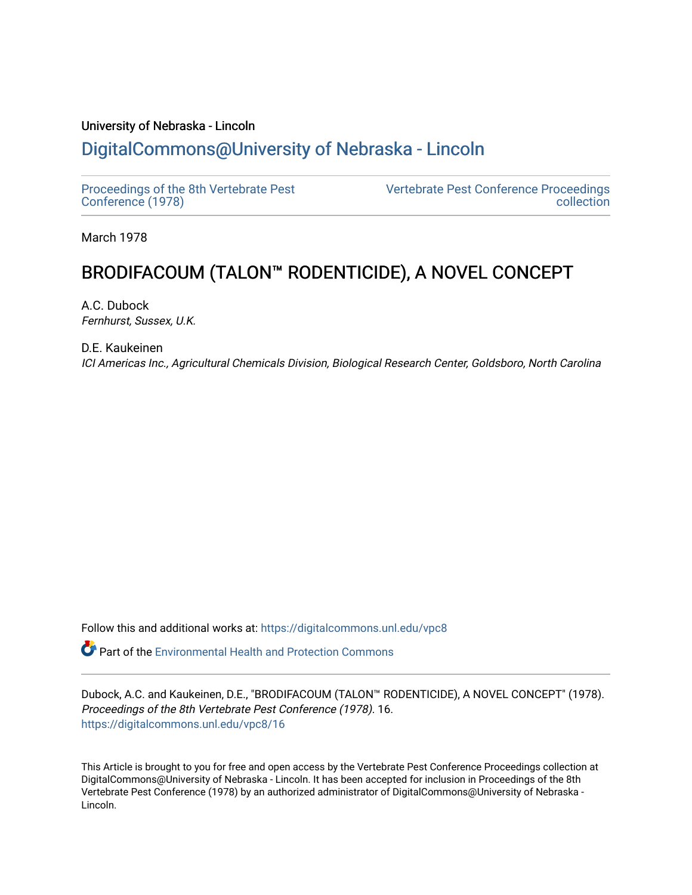## University of Nebraska - Lincoln [DigitalCommons@University of Nebraska - Lincoln](https://digitalcommons.unl.edu/)

[Proceedings of the 8th Vertebrate Pest](https://digitalcommons.unl.edu/vpc8) [Conference \(1978\)](https://digitalcommons.unl.edu/vpc8)

[Vertebrate Pest Conference Proceedings](https://digitalcommons.unl.edu/vpccollection)  [collection](https://digitalcommons.unl.edu/vpccollection) 

March 1978

# BRODIFACOUM (TALON™ RODENTICIDE), A NOVEL CONCEPT

A.C. Dubock Fernhurst, Sussex, U.K.

D.E. Kaukeinen ICI Americas Inc., Agricultural Chemicals Division, Biological Research Center, Goldsboro, North Carolina

Follow this and additional works at: [https://digitalcommons.unl.edu/vpc8](https://digitalcommons.unl.edu/vpc8?utm_source=digitalcommons.unl.edu%2Fvpc8%2F16&utm_medium=PDF&utm_campaign=PDFCoverPages) 

**P** Part of the Environmental Health and Protection Commons

Dubock, A.C. and Kaukeinen, D.E., "BRODIFACOUM (TALON™ RODENTICIDE), A NOVEL CONCEPT" (1978). Proceedings of the 8th Vertebrate Pest Conference (1978). 16. [https://digitalcommons.unl.edu/vpc8/16](https://digitalcommons.unl.edu/vpc8/16?utm_source=digitalcommons.unl.edu%2Fvpc8%2F16&utm_medium=PDF&utm_campaign=PDFCoverPages)

This Article is brought to you for free and open access by the Vertebrate Pest Conference Proceedings collection at DigitalCommons@University of Nebraska - Lincoln. It has been accepted for inclusion in Proceedings of the 8th Vertebrate Pest Conference (1978) by an authorized administrator of DigitalCommons@University of Nebraska - Lincoln.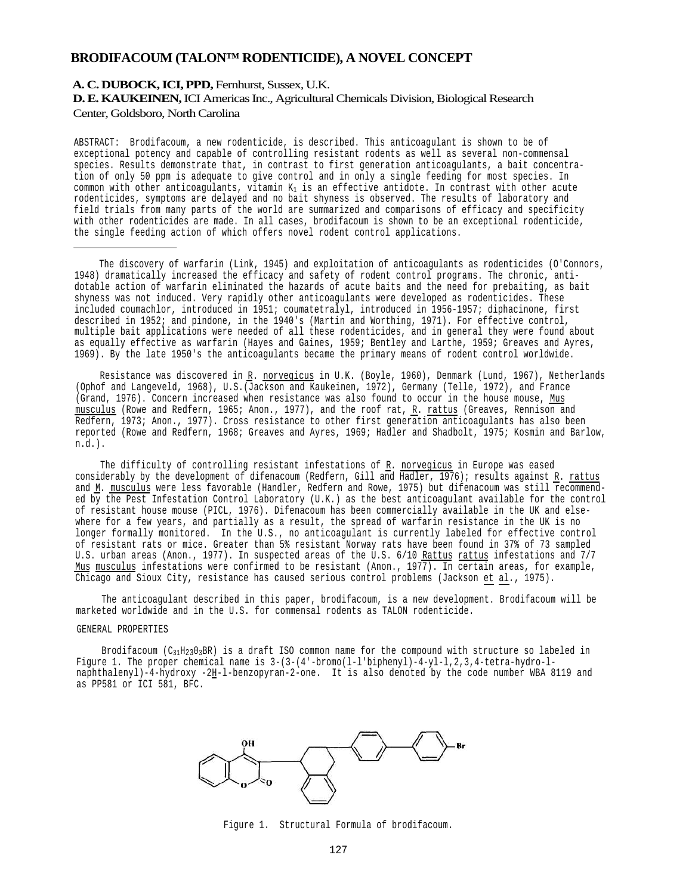## **BRODIFACOUM (TALON™ RODENTICIDE), A NOVEL CONCEPT**

## **A. C. DUBOCK, ICI, PPD,** Fernhurst, Sussex, U.K. **D. E. KAUKEINEN,** ICI Americas Inc., Agricultural Chemicals Division, Biological Research Center, Goldsboro, North Carolina

ABSTRACT: Brodifacoum, a new rodenticide, is described. This anticoagulant is shown to be of exceptional potency and capable of controlling resistant rodents as well as several non-commensal species. Results demonstrate that, in contrast to first generation anticoagulants, a bait concentration of only 50 ppm is adequate to give control and in only a single feeding for most species. In common with other anticoagulants, vitamin  $K_1$  is an effective antidote. In contrast with other acute rodenticides, symptoms are delayed and no bait shyness is observed. The results of laboratory and field trials from many parts of the world are summarized and comparisons of efficacy and specificity with other rodenticides are made. In all cases, brodifacoum is shown to be an exceptional rodenticide, the single feeding action of which offers novel rodent control applications.

The discovery of warfarin (Link, 1945) and exploitation of anticoagulants as rodenticides (O'Connors, 1948) dramatically increased the efficacy and safety of rodent control programs. The chronic, antidotable action of warfarin eliminated the hazards of acute baits and the need for prebaiting, as bait shyness was not induced. Very rapidly other anticoagulants were developed as rodenticides. These included coumachlor, introduced in 1951; coumatetralyl, introduced in 1956-1957; diphacinone, first<br>described in 1952; and pindone, in the 1940's (Martin and Worthing, 1971). For effective control, multiple bait applications were needed of all these rodenticides, and in general they were found about as equally effective as warfarin (Hayes and Gaines, 1959; Bentley and Larthe, 1959; Greaves and Ayres, 1969). By the late 1950's the anticoagulants became the primary means of rodent control worldwide.

Resistance was discovered in R. norvegicus in U.K. (Boyle, 1960), Denmark (Lund, 1967), Netherlands (Ophof and Langeveld, 1968), U.S.(Jackson and Kaukeinen, 1972), Germany (Telle, 1972), and France (Grand, 1976). Concern increased when resistance was also found to occur in the house mouse, Mus musculus (Rowe and Redfern, 1965; Anon., 1977), and the roof rat, R. rattus (Greaves, Rennison and Redfern, 1973; Anon., 1977). Cross resistance to other first generation anticoagulants has also been reported (Rowe and Redfern, 1968; Greaves and Ayres, 1969; Hadler and Shadbolt, 1975; Kosmin and Barlow, n.d.).

The difficulty of controlling resistant infestations of <u>R</u>. norvegicus in Europe was eased<br>considerably by the development of difenacoum (Redfern, Gill and Hadler, 1976); results against R. rattus and M. musculus were less favorable (Handler, Redfern and Rowe, 1975) but difenacoum was still recommended by the Pest Infestation Control Laboratory (U.K.) as the best anticoagulant available for the control of resistant house mouse (PICL, 1976). Difenacoum has been commercially available in the UK and else where for a few years, and partially as a result, the spread of warfarin resistance in the UK is no longer formally monitored. In the U.S., no anticoagulant is currently labeled for effective control of resistant rats or mice. Greater than 5% resistant Norway rats have been found in 37% of 73 sampled U.S. urban areas (Anon., 1977). In suspected areas of the U.S. 6/10 Rattus rattus infestations and 7/7 Mus musculus infestations were confirmed to be resistant (Anon., 1977). In certain areas, for example, Chicago and Sioux City, resistance has caused serious control problems (Jackson et al*.*, 1975).

The anticoagulant described in this paper, brodifacoum, is a new development. Brodifacoum will be marketed worldwide and in the U.S. for commensal rodents as TALON rodenticide.

#### GENERAL PROPERTIES

Brodifacoum (C<sub>31</sub>H<sub>23</sub>0<sub>3</sub>BR) is a draft ISO common name for the compound with structure so labeled in Figure 1. The proper chemical name is  $3-(3-(4'-b$ romo( $1-1/b$ iphenyl)-4-yl-1,2,3,4-tetra-hydro-1naphthalenyl)-4-hydroxy -2H-l-benzopyran-2-one. It is also denoted by the code number WBA 8119 and as PP581 or ICI 581, BFC.



Figure 1. Structural Formula of brodifacoum.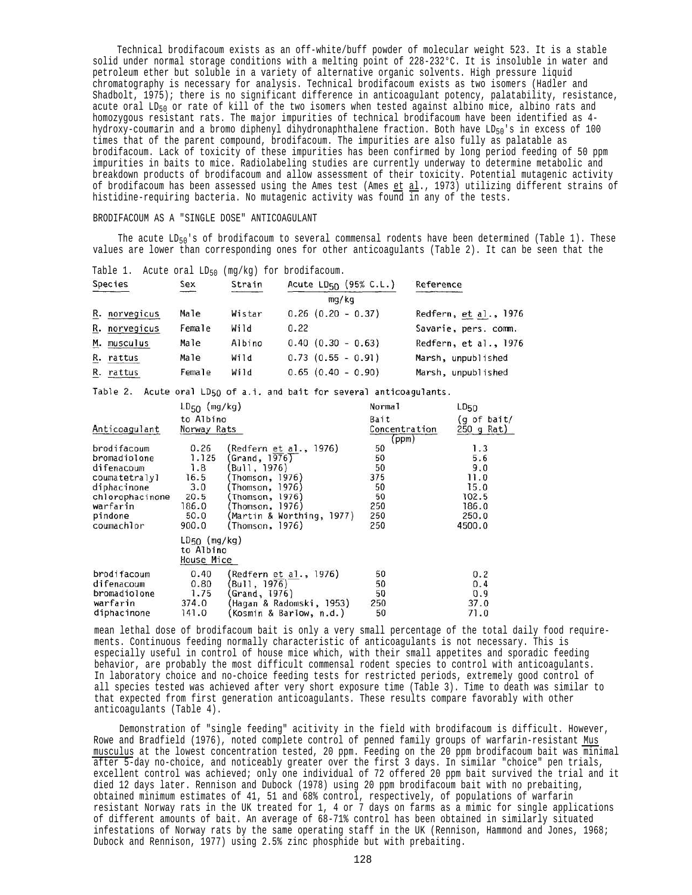Technical brodifacoum exists as an off-white/buff powder of molecular weight 523. It is a stable solid under normal storage conditions with a melting point of 228-232°C. It is insoluble in water and petroleum ether but soluble in a variety of alternative organic solvents. High pressure liquid chromatography is necessary for analysis. Technical brodifacoum exists as two isomers (Hadler and Shadbolt, 1975); there is no significant difference in anticoagulant potency, palatability, resistance, acute oral LD<sub>50</sub> or rate of kill of the two isomers when tested against albino mice, albino rats and homozygous resistant rats. The major impurities of technical brodifacoum have been identified as 4 hydroxy-coumarin and a bromo diphenyl dihydronaphthalene fraction. Both have LD50's in excess of 100 times that of the parent compound, brodifacoum. The impurities are also fully as palatable as brodifacoum. Lack of toxicity of these impurities has been confirmed by long period feeding of 50 ppm impurities in baits to mice. Radiolabeling studies are currently underway to determine metabolic and breakdown products of brodifacoum and allow assessment of their toxicity. Potential mutagenic activity of brodifacoum has been assessed using the Ames test (Ames et al., 1973) utilizing different strains of histidine-requiring bacteria. No mutagenic activity was found in any of the tests.

## BRODIFACOUM AS A "SINGLE DOSE" ANTICOAGULANT

The acute  $LD_{50}$ 's of brodifacoum to several commensal rodents have been determined (Table 1). These values are lower than corresponding ones for other anticoagulants (Table 2). It can be seen that the

| Table 1.      | Acute oral LD <sub>50</sub> |        | (mg/kg) for brodifacoum.          |                       |
|---------------|-----------------------------|--------|-----------------------------------|-----------------------|
| Species       | Sex                         | Strain | Acute LD <sub>50</sub> (95% C.L.) | Reference             |
|               |                             |        | mq/kg                             |                       |
| R. norvegicus | Male                        | Wistar | $0.26$ $(0.20 - 0.37)$            | Redfern, et al., 1976 |
| R. norvegicus | Female                      | Wild   | 0.22                              | Savarie, pers. comm.  |
| M. musculus   | Male                        | Albino | $0.40$ $(0.30 - 0.63)$            | Redfern, et al., 1976 |
| R. rattus     | Male                        | Wild   | $0.73$ $(0.55 - 0.91)$            | Marsh, unpublished    |
| R. rattus     | Female                      | Wild   | $0.65$ $(0.40 - 0.90)$            | Marsh, unpublished    |

Table 2. Acute oral LD50 of a.i. and bait for several anticoagulants.

|                 | $LD_{50}$ (mg/kg)                            |                           | Norma <sub>1</sub> | LDSO        |
|-----------------|----------------------------------------------|---------------------------|--------------------|-------------|
|                 | to Albino                                    |                           | Bait               | (g of bait/ |
| Anticoagulant   | Norway Rats                                  |                           | Concentration      | 250 g Rat)  |
| brodifacoum     | 0.26                                         | (Redfern et al., 1976)    | (ppm)<br>50        | 1.3         |
| bromadiolone    | 1.125                                        | Grand, 1976)              | 50                 | 5.6         |
| difenacoum      | 1.8                                          | Bull, 1976)               | 50                 | 9.0         |
| coumatetralyl   | 16.5                                         | (Thomson, 1976)           | 375                | 11.0        |
| diphacinone     | 3.0                                          | (Thomson, 1976)           | 50                 | 15.0        |
| chlorophacinone | 20.5                                         | Thomson, 1976)            | 50                 | 102.5       |
| warfarin        | 186.0                                        | Thomson, 1976)            | 250                | 186.0       |
| pindone         | 50.0                                         | (Martin & Worthing, 1977) | 250                | 250.0       |
| coumachlor      | 900.0                                        | (Thomson, 1976)           | 250                | 4500.0      |
|                 | $LD_{50}$ (mg/kg)<br>to Albino<br>House Mice |                           |                    |             |
| brodifacoum     | 0.40                                         | Redfern et al., 1976)     | 50                 | 0.2         |
| difenacoum      | 0.80                                         | Bull, 1976)               | 50                 | 0.4         |
| bromadiolone    | 1.75                                         | Grand, 1976)              | 50                 | 0.9         |
| warfarin        | 374.0                                        | (Haqan & Radomski, 1953)  | 250                | 37.0        |
| diphacinone     | 141.0                                        | Kosmin & Barlow, n.d.)    | 50                 | 71.0        |

mean lethal dose of brodifacoum bait is only a very small percentage of the total daily food requirements. Continuous feeding normally characteristic of anticoagulants is not necessary. This is especially useful in control of house mice which, with their small appetites and sporadic feeding behavior, are probably the most difficult commensal rodent species to control with anticoagulants. In laboratory choice and no-choice feeding tests for restricted periods, extremely good control of all species tested was achieved after very short exposure time (Table 3). Time to death was similar to that expected from first generation anticoagulants. These results compare favorably with other anticoagulants (Table 4).

Demonstration of "single feeding" acitivity in the field with brodifacoum is difficult. However, Rowe and Bradfield (1976), noted complete control of penned family groups of warfarin-resistant Mus musculus at the lowest concentration tested, 20 ppm. Feeding on the 20 ppm brodifacoum bait was minimal after 5-day no-choice, and noticeably greater over the first 3 days. In similar "choice" pen trials, excellent control was achieved; only one individual of 72 offered 20 ppm bait survived the trial and it died 12 days later. Rennison and Dubock (1978) using 20 ppm brodifacoum bait with no prebaiting, obtained minimum estimates of 41, 51 and 68% control, respectively, of populations of warfarin resistant Norway rats in the UK treated for 1, 4 or 7 days on farms as a mimic for single applications of different amounts of bait. An average of 68-71% control has been obtained in similarly situated infestations of Norway rats by the same operating staff in the UK (Rennison, Hammond and Jones, 1968; Dubock and Rennison, 1977) using 2.5% zinc phosphide but with prebaiting.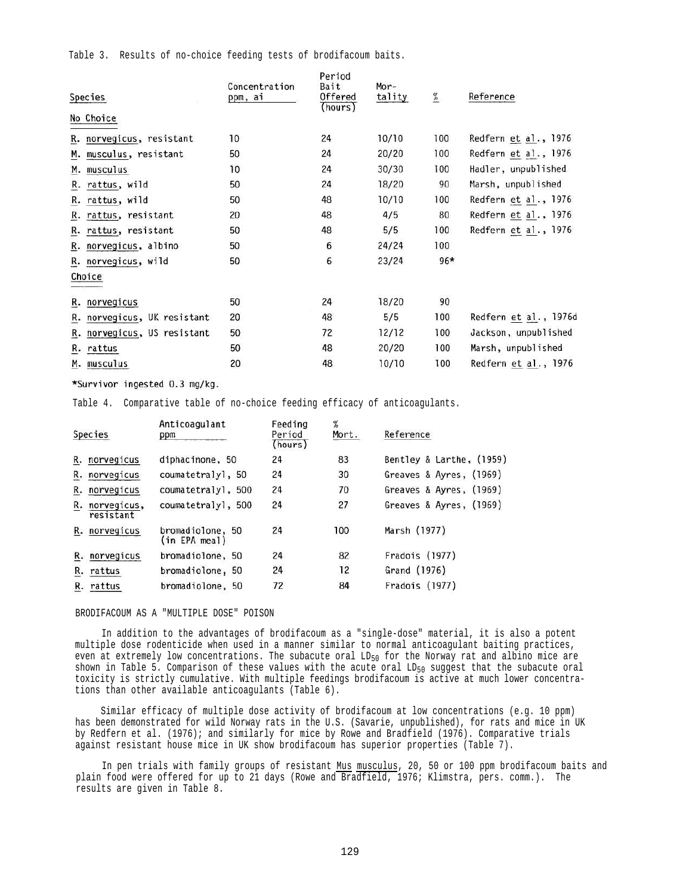Table 3. Results of no-choice feeding tests of brodifacoum baits.

| Species                        | Concentration<br>ppm, ai | Period<br>Bait<br>Offered<br>(hours) | Mor-<br>tality | $\%$  | Reference             |
|--------------------------------|--------------------------|--------------------------------------|----------------|-------|-----------------------|
| No Choice                      |                          |                                      |                |       |                       |
| R. norvegicus, resistant       | 10                       | 24                                   | 10/10          | 100   | Redfern et al., 1976  |
| musculus, resistant<br>М.      | 50                       | 24                                   | 20/20          | 100   | Redfern et al., 1976  |
| musculus<br>М.                 | 10                       | 24                                   | 30/30          | 100   | Hadler, unpublished   |
| R. rattus, wild                | 50                       | 24                                   | 18/20          | 90    | Marsh, unpublished    |
| rattus, wild<br>R.             | 50                       | 48                                   | 10/10          | 100   | Redfern et al., 1976  |
| R. rattus, resistant           | 20                       | 48                                   | 4/5            | 80    | Redfern et al., 1976  |
| R. rattus, resistant           | 50                       | 48                                   | 5/5            | 100   | Redfern et al., 1976  |
| R. norvegicus, albino          | 50                       | 6                                    | 24/24          | 100   |                       |
| R. norvegicus, wild            | 50                       | 6                                    | 23/24          | $96*$ |                       |
| Choice                         |                          |                                      |                |       |                       |
| norvegicus<br>R.               | 50                       | 24                                   | 18/20          | 90    |                       |
| norvegicus, UK resistant<br>R. | 20                       | 48                                   | 5/5            | 100   | Redfern et al., 1976c |
| R. norvegicus, US resistant    | 50                       | 72                                   | 12/12          | 100   | Jackson, unpublished  |
| R. rattus                      | 50                       | 48                                   | 20/20          | 100   | Marsh, unpublished    |
| M. musculus                    | 20                       | 48                                   | 10/10          | 100   | Redfern et al., 1976  |

#### \*Survivor ingested 0.3 mg/kg.

Table 4. Comparative table of no-choice feeding efficacy of anticoagulants.

|    | Species                     | Anticoagulant<br>ppm              | Feeding<br>Period<br>(hours) | %<br>Mort. | Reference                |
|----|-----------------------------|-----------------------------------|------------------------------|------------|--------------------------|
|    | R. norvegicus               | diphacinone, 50                   | 24                           | 83         | Bentley & Larthe, (1959) |
|    | R. norvegicus               | coumatetralyl, 50                 | 24                           | 30         | Greaves & Ayres, (1969)  |
|    | R. norvegicus               | coumatetralyl, 500                | 24                           | 70         | Greaves & Ayres, (1969)  |
|    | R. norvegicus,<br>resistant | coumatetralyl, 500                | 24                           | 27         | Greaves & Ayres, (1969)  |
|    | R. norvegicus               | bromadiolone, 50<br>(in EPA meal) | 24                           | 100        | Marsh (1977)             |
|    | R. norvegicus               | bromadiolone, 50                  | 24                           | 82         | Fradois (1977)           |
| R. | rattus                      | bromadiolone, 50                  | 24                           | 12         | Grand (1976)             |
|    | R. rattus                   | bromadiolone, 50                  | 72                           | 84         | Fradois (1977)           |

## BRODIFACOUM AS A "MULTIPLE DOSE" POISON

In addition to the advantages of brodifacoum as a "single-dose" material, it is also a potent multiple dose rodenticide when used in a manner similar to normal anticoagulant baiting practices, even at extremely low concentrations. The subacute oral  $LD_{50}$  for the Norway rat and albino mice are shown in Table 5. Comparison of these values with the acute oral  $LD_{50}$  suggest that the subacute oral toxicity is strictly cumulative. With multiple feedings brodifacoum is active at much lower concentrations than other available anticoagulants (Table 6).

Similar efficacy of multiple dose activity of brodifacoum at low concentrations (e.g. 10 ppm) has been demonstrated for wild Norway rats in the U.S. (Savarie, unpublished), for rats and mice in UK by Redfern et al. (1976); and similarly for mice by Rowe and Bradfield (1976). Comparative trials against resistant house mice in UK show brodifacoum has superior properties (Table 7).

In pen trials with family groups of resistant Mus musculus, 20, 50 or 100 ppm brodifacoum baits and plain food were offered for up to 21 days (Rowe and Bradfield, 1976; Klimstra, pers. comm.). The results are given in Table 8.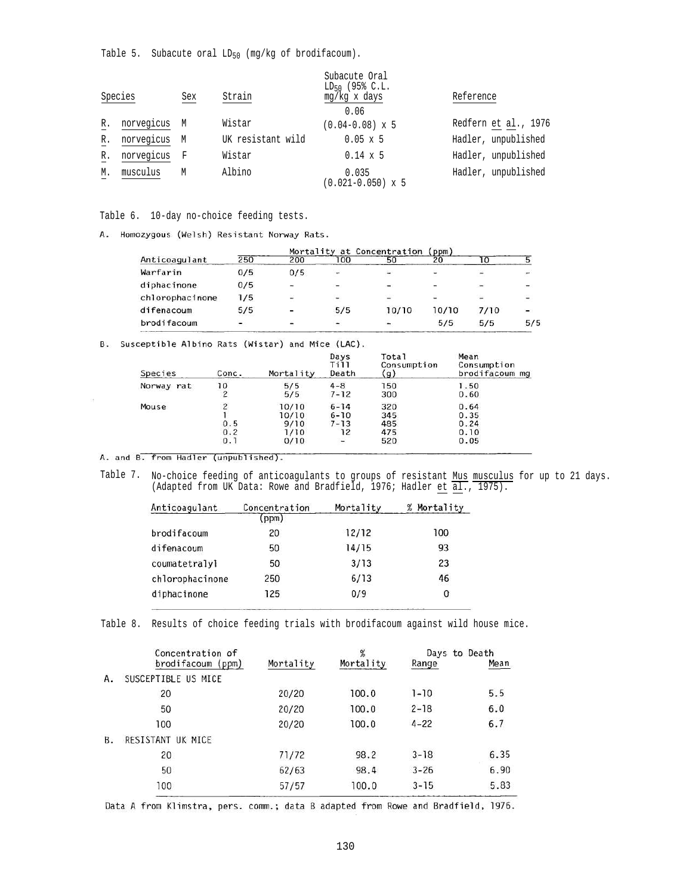Table 5. Subacute oral  $LD_{50}$  (mg/kg of brodifacoum).

|    | Species    | Sex | Strain            | Subacute Oral<br>LD <sub>50</sub> (95% C.L.<br>mg/kg x days | Reference            |
|----|------------|-----|-------------------|-------------------------------------------------------------|----------------------|
|    |            |     |                   | 0.06                                                        |                      |
| R. | norvegicus | M   | Wistar            | $(0.04 - 0.08) \times 5$                                    | Redfern et al., 1976 |
| R. | norvegicus | M   | UK resistant wild | $0.05 \times 5$                                             | Hadler, unpublished  |
| R. | norvegicus | F   | Wistar            | $0.14 \times 5$                                             | Hadler, unpublished  |
| М. | musculus   | М   | Albino            | 0.035<br>$(0.021 - 0.050) \times 5$                         | Hadler, unpublished  |

Table 6. 10-day no-choice feeding tests.

A. Homozygous (Welsh) Resistant Norway Rats.

|                 |     |                          | Mortality at Concentration |                          |                          | (ppm)                    |                          |
|-----------------|-----|--------------------------|----------------------------|--------------------------|--------------------------|--------------------------|--------------------------|
| Anticoagulant   | 250 | 200                      | 100                        | 50                       | 20                       |                          |                          |
| Warfarin        | 0/5 | 0/5                      |                            | $\overline{\phantom{a}}$ |                          |                          |                          |
| diphacinone     | 0/5 | $\overline{\phantom{a}}$ | -                          | $\overline{\phantom{a}}$ |                          | $\overline{\phantom{a}}$ |                          |
| chlorophacinone | 1/5 | 營                        | -                          | $\overline{\phantom{a}}$ | $\overline{\phantom{a}}$ | ು                        | $\overline{\phantom{a}}$ |
| difenacoum      | 5/5 |                          | 5/5                        | 10/10                    | 10/10                    | 7/10                     |                          |
| brodifacoum     |     |                          |                            |                          | 5/5                      | 5/5                      | 5/5                      |

B. Susceptible Albino Rats (Wistar) and Mice (LAC).

| Species    | Conc.                    | Mortality | Days<br>Till<br>Death | Total<br>Consumption<br>$\gtrsim$ | Mean<br>Consumption<br>brodifacoum mg |
|------------|--------------------------|-----------|-----------------------|-----------------------------------|---------------------------------------|
| Norway rat | 10                       | 5/5       | $4 - 8$               | 150                               | 1.50                                  |
|            | $\overline{\mathcal{L}}$ | 5/5       | $7 - 12$              | 300                               | 0.60                                  |
| Mouse      | 2                        | 10/10     | $6 - 14$              | 320                               | 0.64                                  |
|            |                          | 10/10     | $6 - 10$              | 345                               | 0.35                                  |
|            | 0.5                      | 9/10      | $7 - 13$              | 485                               | 0.24                                  |
|            | 0.2                      | 1/10      | 12                    | 475                               | 0.10                                  |
|            | 0.1                      | 0/10      |                       | 520                               | 0.05                                  |

A. and B. from Hadler (unpublished).

Table 7. No-choice feeding of anticoagulants to groups of resistant Mus musculus for up to 21 days. (Adapted from UK Data: Rowe and Bradfield, 1976; Hadler et  $\overline{al.}$ , 1975).

| Anticoagulant   | Concentration | Mortality | Mortality<br>% |
|-----------------|---------------|-----------|----------------|
|                 | ppm)          |           |                |
| brodifacoum     | 20            | 12/12     | 100            |
| difenacoum      | 50            | 14/15     | 93             |
| coumatetralyl   | 50            | 3/13      | 23             |
| chlorophacinone | 250           | 6/13      | 46             |
| diphacinone     | 125           | 0/9       | 0              |

Table 8. Results of choice feeding trials with brodifacoum against wild house mice.

|    | Concentration of<br>brodifacoum (ppm) | Mortality | $\frac{9}{6}$<br>Mortality | Range    | Days to Death<br>Mean |
|----|---------------------------------------|-----------|----------------------------|----------|-----------------------|
| Α. | SUSCEPTIBLE US MICE                   |           |                            |          |                       |
|    | 20                                    | 20/20     | 100.0                      | $1 - 10$ | 5.5                   |
|    | 50                                    | 20/20     | 100.0                      | $2 - 18$ | 6.0                   |
|    | 100                                   | 20/20     | 100.0                      | $4 - 22$ | 6.7                   |
| Β. | RESISTANT UK MICE                     |           |                            |          |                       |
|    | 20                                    | 71/72     | 98.2                       | $3 - 18$ | 6.35                  |
|    | 50                                    | 62/63     | 98.4                       | $3 - 26$ | 6.90                  |
|    | 100                                   | 57/57     | 100.0                      | $3 - 15$ | 5.83                  |

Data A from Klimstra, pers. comm.; data B adapted from Rowe and Bradfield, 1976.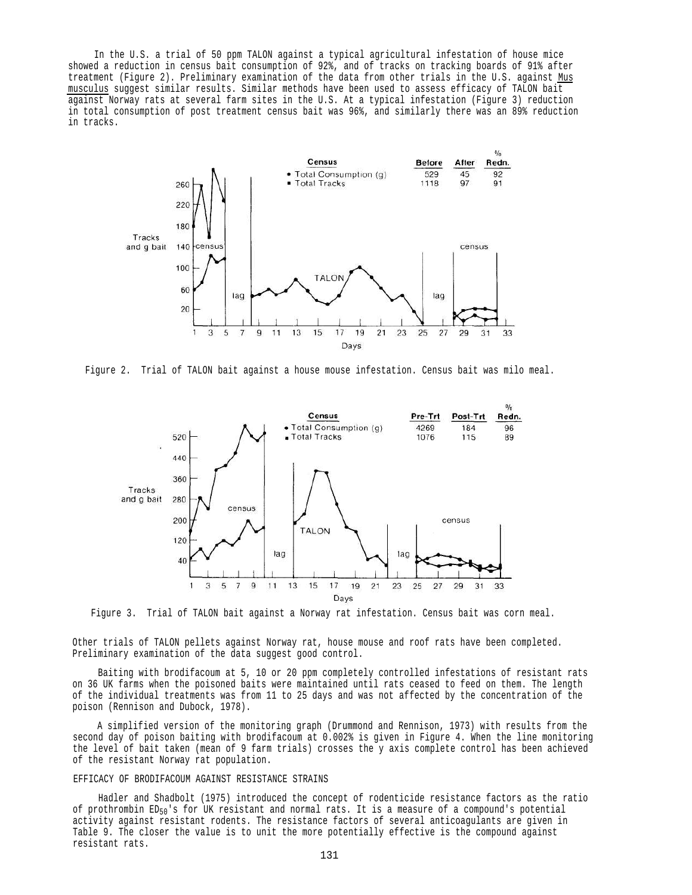In the U.S. a trial of 50 ppm TALON against a typical agricultural infestation of house mice showed a reduction in census bait consumption of 92%, and of tracks on tracking boards of 91% after treatment (Figure 2). Preliminary examination of the data from other trials in the U.S. against Mus musculus suggest similar results. Similar methods have been used to assess efficacy of TALON bait against Norway rats at several farm sites in the U.S. At a typical infestation (Figure 3) reduction in total consumption of post treatment census bait was 96%, and similarly there was an 89% reduction in tracks.



Figure 2. Trial of TALON bait against a house mouse infestation. Census bait was milo meal.



Figure 3. Trial of TALON bait against a Norway rat infestation. Census bait was corn meal.

Other trials of TALON pellets against Norway rat, house mouse and roof rats have been completed. Preliminary examination of the data suggest good control.

Baiting with brodifacoum at 5, 10 or 20 ppm completely controlled infestations of resistant rats on 36 UK farms when the poisoned baits were maintained until rats ceased to feed on them. The length of the individual treatments was from 11 to 25 days and was not affected by the concentration of the poison (Rennison and Dubock, 1978).

A simplified version of the monitoring graph (Drummond and Rennison, 1973) with results from the second day of poison baiting with brodifacoum at 0.002% is given in Figure 4. When the line monitoring the level of bait taken (mean of 9 farm trials) crosses the y axis complete control has been achieved of the resistant Norway rat population.

### EFFICACY OF BRODIFACOUM AGAINST RESISTANCE STRAINS

Hadler and Shadbolt (1975) introduced the concept of rodenticide resistance factors as the ratio of prothrombin ED50's for UK resistant and normal rats. It is a measure of a compound's potential activity against resistant rodents. The resistance factors of several anticoagulants are given in Table 9. The closer the value is to unit the more potentially effective is the compound against resistant rats.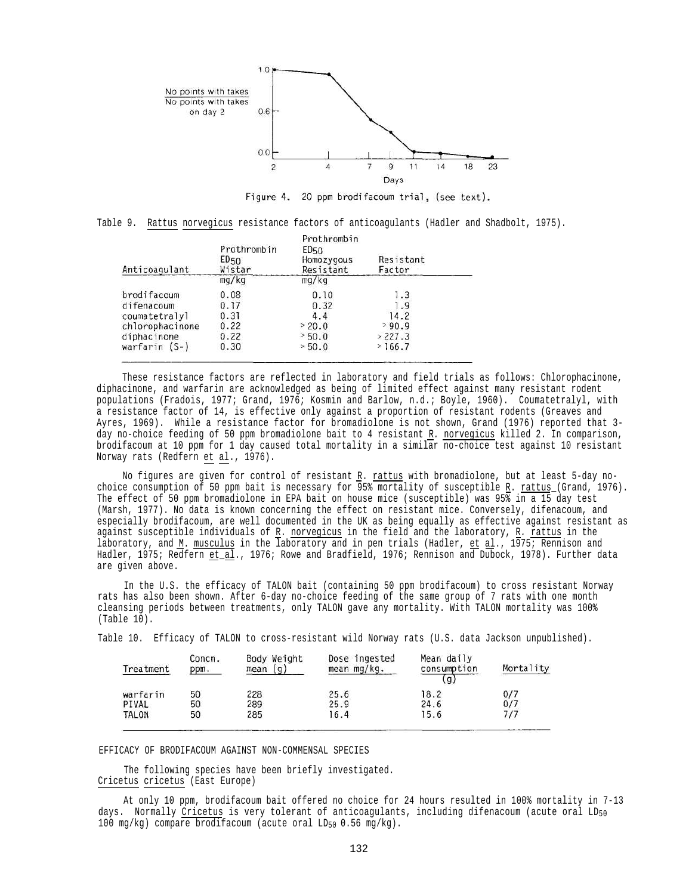

Figure 4. 20 ppm brodifacoum trial, (see text).

Table 9. Rattus norvegicus resistance factors of anticoagulants (Hadler and Shadbolt, 1975).

| Anticoagulant   | Prothrombin<br>ED50<br>Wistar<br>mg/kg | Prothrombin<br>ED <sub>50</sub><br>Homozygous<br>Resistant<br>mg/kg | Resistant<br>Factor |  |
|-----------------|----------------------------------------|---------------------------------------------------------------------|---------------------|--|
| brodifacoum     | 0.08                                   | 0.10                                                                | 1.3                 |  |
| difenacoum      | 0.17                                   | 0.32                                                                | 1.9                 |  |
| coumatetralyl   | 0.31                                   | 4.4                                                                 | 14.2                |  |
| chlorophacinone | 0.22                                   | > 20.0                                                              | >90.9               |  |
| diphacinone     | 0.22                                   | > 50.0                                                              | > 227.3             |  |
| warfarin $(S-)$ | 0.30                                   | > 50.0                                                              | >166.7              |  |

These resistance factors are reflected in laboratory and field trials as follows: Chlorophacinone, diphacinone, and warfarin are acknowledged as being of limited effect against many resistant rodent populations (Fradois, 1977; Grand, 1976; Kosmin and Barlow, n.d.; Boyle, 1960). Coumatetralyl, with a resistance factor of 14, is effective only against a proportion of resistant rodents (Greaves and Ayres, 1969). While a resistance factor for bromadiolone is not shown, Grand (1976) reported that 3 day no-choice feeding of 50 ppm bromadiolone bait to 4 resistant R*.* norvegicus killed 2. In comparison, brodifacoum at 10 ppm for 1 day caused total mortality in a similar no-choice test against 10 resistant Norway rats (Redfern et al., 1976).

No figures are given for control of resistant R. rattus with bromadiolone, but at least 5-day nochoice consumption of 50 ppm bait is necessary for 95% mortality of susceptible R. rattus\_(Grand, 1976). The effect of 50 ppm bromadiolone in EPA bait on house mice (susceptible) was 95% in a 15 day test (Marsh, 1977). No data is known concerning the effect on resistant mice. Conversely, difenacoum, and especially brodifacoum, are well documented in the UK as being equally as effective against resistant as against susceptible individuals of R. norvegicus in the field and the laboratory, R*.* rattus in the laboratory, and  $M$ . musculus</u> in the laboratory and in pen trials (Hadler, et al., 1975; Rennison and Hadler, 1975; Redfern et al., 1976; Rowe and Bradfield, 1976; Rennison and Dubock, 1978). Further data are given above.

In the U.S. the efficacy of TALON bait (containing 50 ppm brodifacoum) to cross resistant Norway rats has also been shown. After 6-day no-choice feeding of the same group of 7 rats with one month cleansing periods between treatments, only TALON gave any mortality. With TALON mortality was 100% (Table 10).

Table 10. Efficacy of TALON to cross-resistant wild Norway rats (U.S. data Jackson unpublished).

| Treatment | Concn.<br>ppm. | Body Weight<br>(g)<br>mean | Dose ingested<br>mean $mg/kg$ . | Mean daily<br>consumption<br>$\alpha$ | Mortality |
|-----------|----------------|----------------------------|---------------------------------|---------------------------------------|-----------|
| warfarin  | 50             | 228                        | 25.6                            | 18.2                                  | 0/7       |
| PIVAL     | 50             | 289                        | 25.9                            | 24.6                                  | 0/7       |
| TALON     | 50             | 285                        | 16.4                            | 15.6                                  | 717       |

EFFICACY OF BRODIFACOUM AGAINST NON-COMMENSAL SPECIES

The following species have been briefly investigated. Cricetus cricetus (East Europe)

At only 10 ppm, brodifacoum bait offered no choice for 24 hours resulted in 100% mortality in 7-13 days. Normally Cricetus is very tolerant of anticoagulants, including difenacoum (acute oral  $LD_{50}$ 100 mg/kg) compare brodifacoum (acute oral  $LD_{50}$  0.56 mg/kg).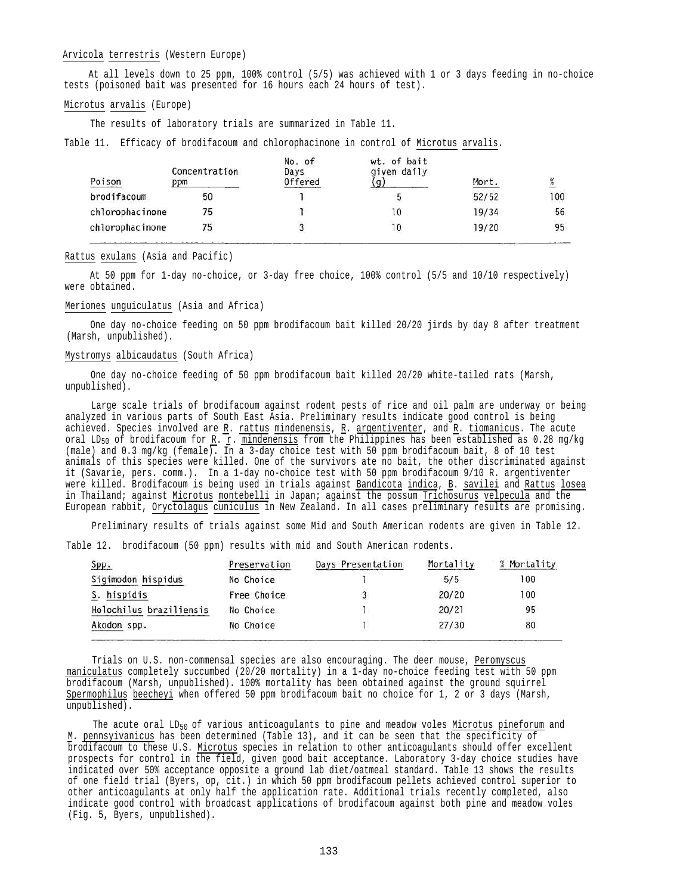## Arvicola terrestris (Western Europe)

At all levels down to 25 ppm, 100% control (5/5) was achieved with 1 or 3 days feeding in no-choice tests (poisoned bait was presented for 16 hours each 24 hours of test).

## Microtus arvalis (Europe)

The results of laboratory trials are summarized in Table 11.

Table 11. Efficacy of brodifacoum and chlorophacinone in control of Microtus arvalis.

| Poison          | Concentration<br>ppm | No. of<br>Days<br>Offered | wt. of bait<br>given daily | Mort. | X   |
|-----------------|----------------------|---------------------------|----------------------------|-------|-----|
| brodifacoum     | 50                   |                           | э                          | 52/52 | 100 |
| chlorophacinone | 75                   |                           | 10                         | 19/34 | 56  |
| chlorophacinone | 75.                  |                           | $\overline{10}$            | 19/20 | 95  |

#### Rattus exulans (Asia and Pacific)

At 50 ppm for 1-day no-choice, or 3-day free choice, 100% control (5/5 and 10/10 respectively) were obtained.

## Meriones unguiculatus (Asia and Africa)

One day no-choice feeding on 50 ppm brodifacoum bait killed 20/20 jirds by day 8 after treatment (Marsh, unpublished).

## Mystromys albicaudatus (South Africa)

One day no-choice feeding of 50 ppm brodifacoum bait killed 20/20 white-tailed rats (Marsh, unpublished).

Large scale trials of brodifacoum against rodent pests of rice and oil palm are underway or being analyzed in various parts of South East Asia. Preliminary results indicate good control is being achieved. Species involved are R. rattus mindenensis, R. argentiventer, and R. tiomanicus. The acute oral LD<sub>50</sub> of brodifacoum for <u>R</u>.  $r.$  mindenensis from the Philippines has been established as 0.28 mg/kg (male) and 0.3 mg/kg (female). In a 3-day choice test with 50 ppm brodifacoum bait, 8 of 10 test animals of this species were killed. One of the survivors ate no bait, the other discriminated against it (Savarie, pers. comm.). In a 1-day no-choice test with 50 ppm brodifacoum 9/10 R. argentiventer were killed. Brodifacoum is being used in trials against Bandicota indica, B. savilei and Rattus losea in Thailand; against Microtus montebelli in Japan; against the possum Trichosurus velpecula and the European rabbit, Oryctolagus cuniculus in New Zealand. In all cases preliminary results are promising.

Preliminary results of trials against some Mid and South American rodents are given in Table 12.

Table 12. brodifacoum (50 ppm) results with mid and South American rodents.

| Spp.                    | Preservation | Days Presentation | Mortality | % Mortality |
|-------------------------|--------------|-------------------|-----------|-------------|
| Sigimodon hispidus      | No Choice    |                   | 5/5       | 100         |
| S. hispidis             | Free Choice  |                   | 20/20     | 100         |
| Holochilus braziliensis | No Choice    |                   | 20/21     | 95          |
| Akodon spp.             | No Choice    |                   | 27/30     | 80          |

Trials on U.S. non-commensal species are also encouraging. The deer mouse, Peromyscus maniculatus completely succumbed (20/20 mortality) in a 1-day no-choice feeding test with 50 ppm brodifacoum (Marsh, unpublished). 100% mortality has been obtained against the ground squirrel Spermophilus beecheyi when offered 50 ppm brodifacoum bait no choice for 1, 2 or 3 days (Marsh, unpublished).

The acute oral  $LD_{50}$  of various anticoagulants to pine and meadow voles Microtus pineforum and M*.* pennsyivanicus has been determined (Table 13), and it can be seen that the specificity of brodifacoum to these U.S. Microtus species in relation to other anticoagulants should offer excellent prospects for control in the field, given good bait acceptance. Laboratory 3-day choice studies have indicated over 50% acceptance opposite a ground lab diet/oatmeal standard. Table 13 shows the results of one field trial (Byers, op, cit.) in which 50 ppm brodifacoum pellets achieved control superior to other anticoagulants at only half the application rate. Additional trials recently completed, also indicate good control with broadcast applications of brodifacoum against both pine and meadow voles (Fig. 5, Byers, unpublished).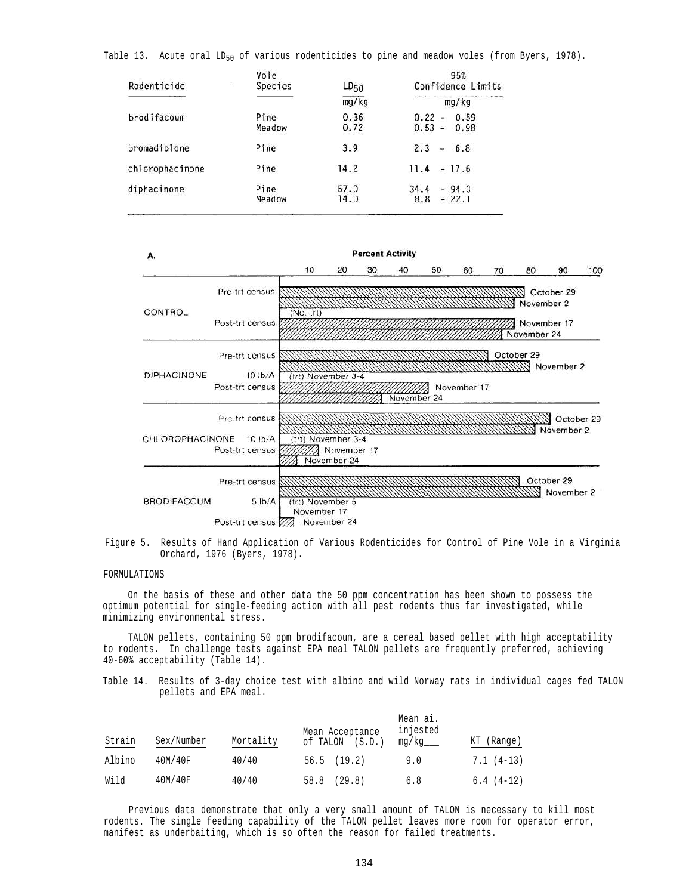|  |  |  |  | Table 13. Acute oral LD <sub>50</sub> of various rodenticides to pine and meadow voles (from Byers, 1978). |  |  |  |  |  |  |  |  |
|--|--|--|--|------------------------------------------------------------------------------------------------------------|--|--|--|--|--|--|--|--|
|--|--|--|--|------------------------------------------------------------------------------------------------------------|--|--|--|--|--|--|--|--|

| Rodenticide     | Vole<br>石<br>Species | $LD_{50}$    | 95%<br>Confidence Limits                |  |  |
|-----------------|----------------------|--------------|-----------------------------------------|--|--|
|                 |                      | mg/kg        | mg/kg                                   |  |  |
| brodifacoum     | Pine<br>Meadow       | 0.36<br>0.72 | 0.22<br>0.59<br>$\sim$<br>$0.53 - 0.98$ |  |  |
| bromadiolone    | Pine                 | 3.9          | 2.3<br>$-6.8$                           |  |  |
| chlorophacinone | Pine                 | 14.2         | $-17.6$<br>11.4                         |  |  |
| diphacinone     | Pine<br>Meadow       | 57.0<br>14.0 | $-94.3$<br>34.4<br>$-22.1$<br>8.8       |  |  |





## FORMULATIONS

On the basis of these and other data the 50 ppm concentration has been shown to possess the optimum potential for single-feeding action with all pest rodents thus far investigated, while minimizing environmental stress.

TALON pellets, containing 50 ppm brodifacoum, are a cereal based pellet with high acceptability to rodents. In challenge tests against EPA meal TALON pellets are frequently preferred, achieving 40-60% acceptability (Table 14).

Table 14. Results of 3-day choice test with albino and wild Norway rats in individual cages fed TALON pellets and EPA meal.

| Strain | Sex/Number | Mortality | Mean Acceptance<br>of TALON<br>(S.D.) | Mean ai.<br>injested<br>mg/kg | КT<br>(Range) |
|--------|------------|-----------|---------------------------------------|-------------------------------|---------------|
| Albino | 40M/40F    | 40/40     | (19.2)<br>56.5                        | 9.0                           | $7.1(4-13)$   |
| Wild   | 40M/40F    | 40/40     | (29.8)<br>58.8                        | 6.8                           | $6.4(4-12)$   |

Previous data demonstrate that only a very small amount of TALON is necessary to kill most rodents. The single feeding capability of the TALON pellet leaves more room for operator error, manifest as underbaiting, which is so often the reason for failed treatments.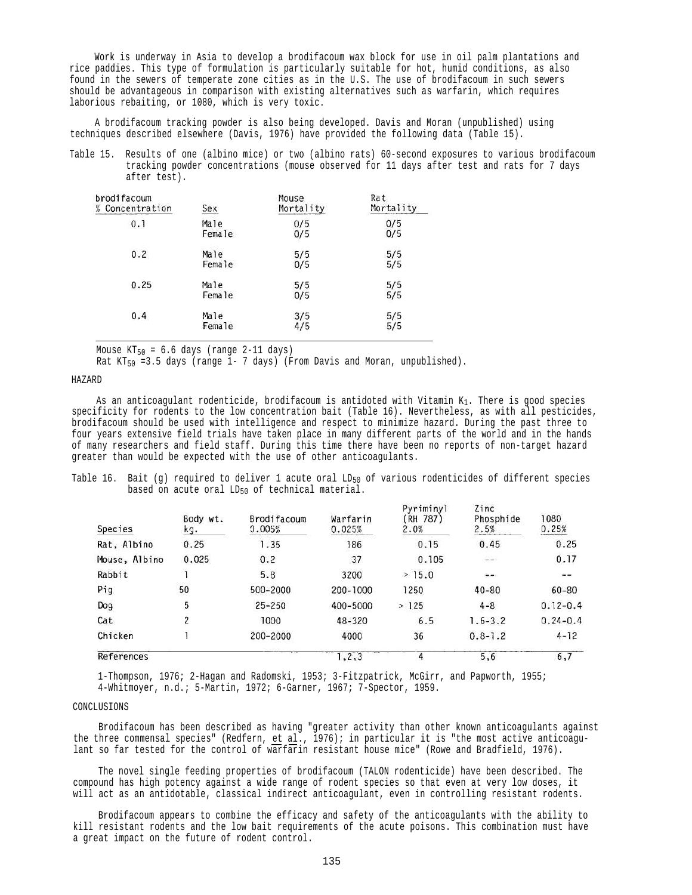Work is underway in Asia to develop a brodifacoum wax block for use in oil palm plantations and rice paddies. This type of formulation is particularly suitable for hot, humid conditions, as also found in the sewers of temperate zone cities as in the U.S. The use of brodifacoum in such sewers should be advantageous in comparison with existing alternatives such as warfarin, which requires laborious rebaiting, or 1080, which is very toxic.

A brodifacoum tracking powder is also being developed. Davis and Moran (unpublished) using techniques described elsewhere (Davis, 1976) have provided the following data (Table 15).

Table 15. Results of one (albino mice) or two (albino rats) 60-second exposures to various brodifacoum tracking powder concentrations (mouse observed for 11 days after test and rats for 7 days after test).

| brodifacoum     | Sex    | Mouse     | Rat       |
|-----------------|--------|-----------|-----------|
| % Concentration |        | Mortality | Mortality |
| 0.1             | Male   | 0/5       | 0/5       |
|                 | Female | 0/5       | 0/5       |
| 0.2             | Male   | 5/5       | 5/5       |
|                 | Female | 0/5       | 5/5       |
| 0.25            | Male   | 5/5       | 5/5       |
|                 | Female | 0/5       | 5/5       |
| 0.4             | Male   | 3/5       | 5/5       |
|                 | Female | 4/5       | 5/5       |

Mouse  $KT_{50} = 6.6$  days (range 2-11 days)

Rat  $KT_{50} = 3.5$  days (range 1- 7 days) (From Davis and Moran, unpublished).

HAZARD

As an anticoagulant rodenticide, brodifacoum is antidoted with Vitamin  $K_1$ . There is good species specificity for rodents to the low concentration bait (Table 16). Nevertheless, as with all pesticides, brodifacoum should be used with intelligence and respect to minimize hazard. During the past three to four years extensive field trials have taken place in many different parts of the world and in the hands of many researchers and field staff. During this time there have been no reports of non-target hazard greater than would be expected with the use of other anticoagulants.

Table 16. Bait (g) required to deliver 1 acute oral  $LD_{50}$  of various rodenticides of different species based on acute oral LD<sub>50</sub> of technical material.

| Species       | Body wt.<br>kg. | <b>Brodifacoum</b><br>0.005% | Warfarin<br>0.025% | Pyriminyl<br>RH 787)<br>2.0% | Zinc<br>Phosphide<br>2.5% | 1080<br>0.25% |
|---------------|-----------------|------------------------------|--------------------|------------------------------|---------------------------|---------------|
| Rat, Albino   | 0.25            | 1.35                         | 186                | 0.15                         | 0.45                      | 0.25          |
| Mouse, Albino | 0.025           | 0.2                          | 37                 | 0.105                        | 오늘                        | 0.17          |
| Rabbit        |                 | 5.8                          | 3200               | > 15.0                       |                           |               |
| Pig           | 50              | 500-2000                     | 200-1000           | 1250                         | $40 - 80$                 | 60-80         |
| Dog           | 5               | $25 - 250$                   | 400-5000           | >125                         | $4 - 8$                   | $0.12 - 0.4$  |
| Cat           | 2               | 1000                         | 48-320             | 6.5                          | $1.6 - 3.2$               | $0.24 - 0.4$  |
| Chicken       |                 | 200-2000                     | 4000               | 36                           | $0.8 - 1.2$               | $4 - 12$      |
| References    |                 |                              | .2.3               |                              | 5.6                       | 6.7           |

1-Thompson, 1976; 2-Hagan and Radomski, 1953; 3-Fitzpatrick, McGirr, and Papworth, 1955; 4-Whitmoyer, n.d.; 5-Martin, 1972; 6-Garner, 1967; 7-Spector, 1959.

## CONCLUSIONS

Brodifacoum has been described as having "greater activity than other known anticoagulants against the three commensal species" (Redfern, et al., 1976); in particular it is "the most active anticoagulant so far tested for the control of warfarin resistant house mice" (Rowe and Bradfield, 1976).

The novel single feeding properties of brodifacoum (TALON rodenticide) have been described. The compound has high potency against a wide range of rodent species so that even at very low doses, it will act as an antidotable, classical indirect anticoagulant, even in controlling resistant rodents.

Brodifacoum appears to combine the efficacy and safety of the anticoagulants with the ability to kill resistant rodents and the low bait requirements of the acute poisons. This combination must have a great impact on the future of rodent control.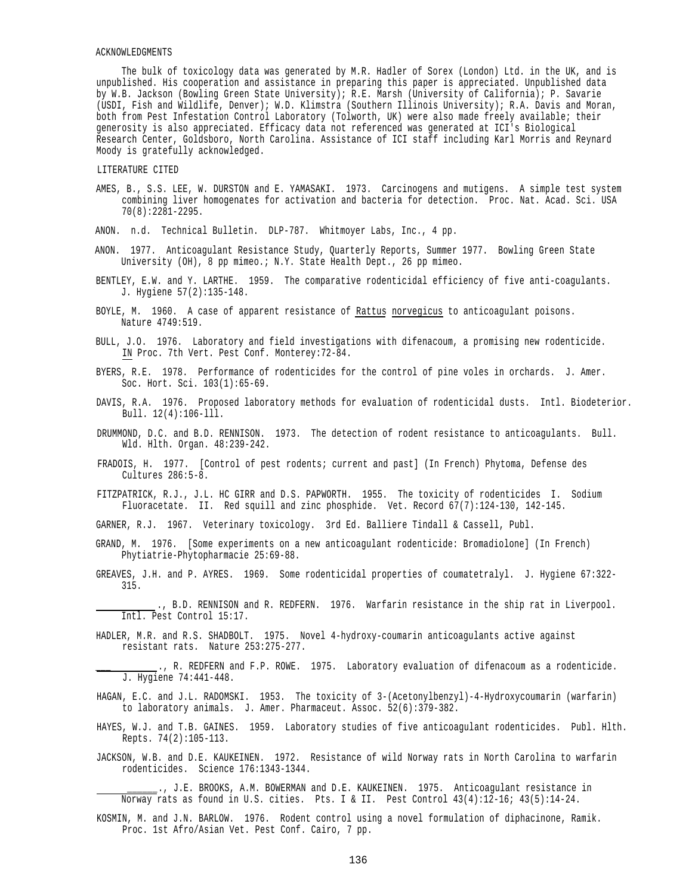## ACKNOWLEDGMENTS

The bulk of toxicology data was generated by M.R. Hadler of Sorex (London) Ltd. in the UK, and is unpublished. His cooperation and assistance in preparing this paper is appreciated. Unpublished data by W.B. Jackson (Bowling Green State University); R.E. Marsh (University of California); P. Savarie (USDI, Fish and Wildlife, Denver); W.D. Klimstra (Southern Illinois University); R.A. Davis and Moran, both from Pest Infestation Control Laboratory (Tolworth, UK) were also made freely available; their generosity is also appreciated. Efficacy data not referenced was generated at ICI's Biological Research Center, Goldsboro, North Carolina. Assistance of ICI staff including Karl Morris and Reynard Moody is gratefully acknowledged.

#### LITERATURE CITED

AMES, B., S.S. LEE, W. DURSTON and E. YAMASAKI. 1973. Carcinogens and mutigens. A simple test system combining liver homogenates for activation and bacteria for detection. Proc. Nat. Acad. Sci. USA 70(8):2281-2295.

ANON. n.d. Technical Bulletin. DLP-787. Whitmoyer Labs, Inc., 4 pp.

- ANON. 1977. Anticoagulant Resistance Study, Quarterly Reports, Summer 1977. Bowling Green State University (OH), 8 pp mimeo.; N.Y. State Health Dept., 26 pp mimeo.
- BENTLEY, E.W. and Y. LARTHE. 1959. The comparative rodenticidal efficiency of five anti-coagulants. J. Hygiene 57(2):135-148.
- BOYLE, M. 1960. A case of apparent resistance of Rattus norvegicus to anticoagulant poisons. Nature 4749:519.
- BULL, J.O. 1976. Laboratory and field investigations with difenacoum, a promising new rodenticide. IN Proc. 7th Vert. Pest Conf. Monterey:72-84.
- BYERS, R.E. 1978. Performance of rodenticides for the control of pine voles in orchards. J. Amer. Soc. Hort. Sci. 103(1):65-69.
- DAVIS, R.A. 1976. Proposed laboratory methods for evaluation of rodenticidal dusts. Intl. Biodeterior. Bull. 12(4):106-lll.
- DRUMMOND, D.C. and B.D. RENNISON. 1973. The detection of rodent resistance to anticoagulants. Bull. Wld. Hlth. Organ. 48:239-242.
- FRADOIS, H. 1977. [Control of pest rodents; current and past] (In French) Phytoma, Defense des Cultures 286:5-8.
- FITZPATRICK, R.J., J.L. HC GIRR and D.S. PAPWORTH. 1955. The toxicity of rodenticides I. Sodium Fluoracetate. II. Red squill and zinc phosphide. Vet. Record 67(7):124-130, 142-145.
- GARNER, R.J. 1967. Veterinary toxicology. 3rd Ed. Balliere Tindall & Cassell, Publ.
- GRAND, M. 1976. [Some experiments on a new anticoagulant rodenticide: Bromadiolone] (In French) Phytiatrie-Phytopharmacie 25:69-88.
- GREAVES, J.H. and P. AYRES. 1969. Some rodenticidal properties of coumatetralyl. J. Hygiene 67:322- 315.
- ., B.D. RENNISON and R. REDFERN. 1976. Warfarin resistance in the ship rat in Liverpool. Intl. Pest Control 15:17.
- HADLER, M.R. and R.S. SHADBOLT. 1975. Novel 4-hydroxy-coumarin anticoagulants active against resistant rats. Nature 253:275-277.
	- ., R. REDFERN and F.P. ROWE. 1975. Laboratory evaluation of difenacoum as a rodenticide. J. Hygiene 74:441-448.
- HAGAN, E.C. and J.L. RADOMSKI. 1953. The toxicity of 3-(Acetonylbenzyl)-4-Hydroxycoumarin (warfarin) to laboratory animals. J. Amer. Pharmaceut. Assoc. 52(6):379-382.
- HAYES, W.J. and T.B. GAINES. 1959. Laboratory studies of five anticoagulant rodenticides. Publ. Hlth. Repts. 74(2):105-113.
- JACKSON, W.B. and D.E. KAUKEINEN. 1972. Resistance of wild Norway rats in North Carolina to warfarin rodenticides. Science 176:1343-1344.

., J.E. BROOKS, A.M. BOWERMAN and D.E. KAUKEINEN. 1975. Anticoagulant resistance in Norway rats as found in U.S. cities. Pts. I & II. Pest Control 43(4):12-16; 43(5):14-24.

KOSMIN, M. and J.N. BARLOW. 1976. Rodent control using a novel formulation of diphacinone, Ramik. Proc. 1st Afro/Asian Vet. Pest Conf. Cairo, 7 pp.